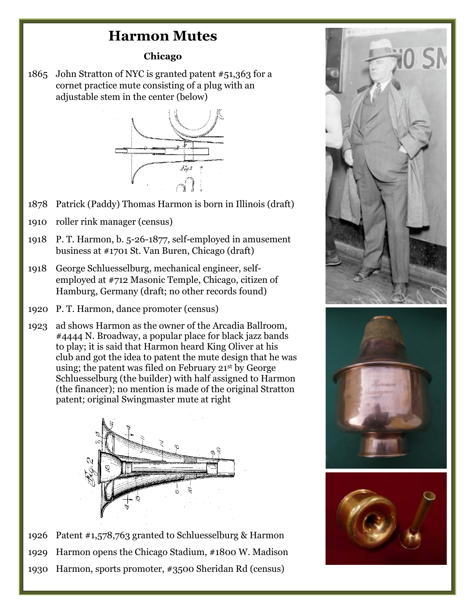## **Harmon Mutes**

## **Chicago**

1865 John Stratton of NYC is granted patent #51,363 for a cornet practice mute consisting of a plug with an adjustable stem in the center (below)



- 1878 Patrick (Paddy) Thomas Harmon is born in Illinois (draft)
- 1910 roller rink manager (census)
- 1918 P. T. Harmon, b. 5-26-1877, self-employed in amusement business at #1701 St. Van Buren, Chicago (draft)
- 1918 George Schluesselburg, mechanical engineer, selfemployed at #712 Masonic Temple, Chicago, citizen of Hamburg, Germany (draft; no other records found)
- 1920 P. T. Harmon, dance promoter (census)
- 1923 ad shows Harmon as the owner of the Arcadia Ballroom, #4444 N. Broadway, a popular place for black jazz bands to play; it is said that Harmon heard King Oliver at his club and got the idea to patent the mute design that he was using; the patent was filed on February 21st by George Schluesselburg (the builder) with half assigned to Harmon (the financer); no mention is made of the original Stratton patent; original Swingmaster mute at right



1926 Patent #1,578,763 granted to Schluesselburg & Harmon 1929 Harmon opens the Chicago Stadium, #1800 W. Madison 1930 Harmon, sports promoter, #3500 Sheridan Rd (census)